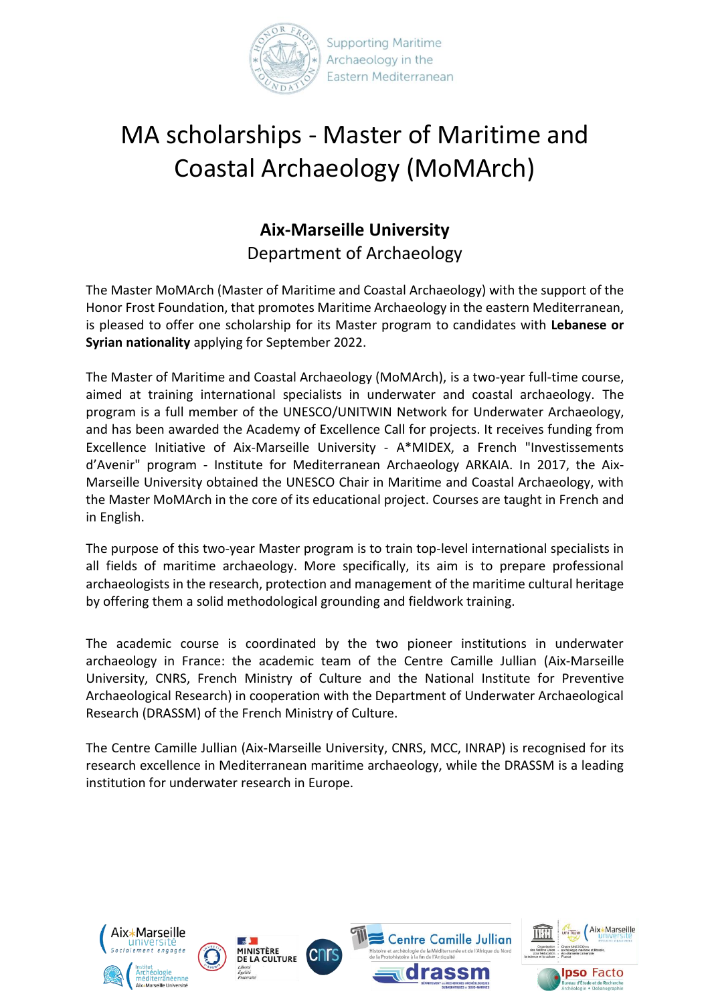

## MA scholarships - Master of Maritime and Coastal Archaeology (MoMArch)

## **Aix-Marseille University** Department of Archaeology

The Master MoMArch (Master of Maritime and Coastal Archaeology) with the support of the Honor Frost Foundation, that promotes Maritime Archaeology in the eastern Mediterranean, is pleased to offer one scholarship for its Master program to candidates with **Lebanese or Syrian nationality** applying for September 2022.

The Master of Maritime and Coastal Archaeology (MoMArch), is a two-year full-time course, aimed at training international specialists in underwater and coastal archaeology. The program is a full member of the UNESCO/UNITWIN Network for Underwater Archaeology, and has been awarded the Academy of Excellence Call for projects. It receives funding from Excellence Initiative of Aix-Marseille University - A\*MIDEX, a French "Investissements d'Avenir" program - Institute for Mediterranean Archaeology ARKAIA. In 2017, the Aix-Marseille University obtained the UNESCO Chair in Maritime and Coastal Archaeology, with the Master MoMArch in the core of its educational project. Courses are taught in French and in English.

The purpose of this two-year Master program is to train top-level international specialists in all fields of maritime archaeology. More specifically, its aim is to prepare professional archaeologists in the research, protection and management of the maritime cultural heritage by offering them a solid methodological grounding and fieldwork training.

The academic course is coordinated by the two pioneer institutions in underwater archaeology in France: the academic team of the Centre Camille Jullian (Aix-Marseille University, CNRS, French Ministry of Culture and the National Institute for Preventive Archaeological Research) in cooperation with the Department of Underwater Archaeological Research (DRASSM) of the French Ministry of Culture.

The Centre Camille Jullian (Aix-Marseille University, CNRS, MCC, INRAP) is recognised for its research excellence in Mediterranean maritime archaeology, while the DRASSM is a leading institution for underwater research in Europe.